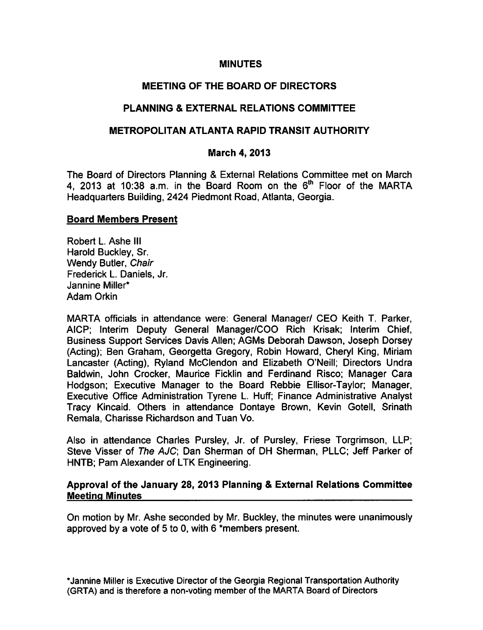#### MINUTES

## MEETING OF THE BOARD OF DIRECTORS

## PLANNING & EXTERNAL RELATIONS COMMITTEE

## METROPOLITAN ATLANTA RAPID TRANSIT AUTHORITY

#### March 4, 2013

The Board of Directors Planning & External Relations Committee met on March 4, 2013 at 10:38 a.m. in the Board Room on the 6<sup>th</sup> Floor of the MARTA Headquarters Building, 2424 Piedmont Road, Atlanta, Georgia.

#### Board Members Present

Robert L. Ashe III Harold Buckley, Sr. Wendy Butler, Chair Frederick L. Daniels, Jr. Jannine Miller\* Adam Orkin

MARTA officials in attendance were: General Manager/ CEO Keith T. Parker, AICP; Interim Deputy General Manager/COO Rich Krisak; Interim Chief, Business Support Services Davis Allen; AGMs Deborah Dawson, Joseph Dorsey (Acting); Ben Graham, Georgetta Gregory, Robin Howard, Cheryl King, Miriam Lancaster (Acting), Ryland McClendon and Elizabeth O'Neill; Directors Undra Baldwin, John Crocker, Maurice Ficklin and Ferdinand Risco; Manager Cara Hodgson; Executive Manager to the Board Rebbie Ellisor-Taylor; Manager, Executive Office Administration Tyrene L. Huff; Finance Administrative Analyst Tracy Kincaid. Others in attendance Dontaye Brown, Kevin Gotell, Srinath Remala, Charisse Richardson and Tuan Vo.

Also in attendance Charles Pursley, Jr. of Pursley, Friese Torgrimson, LLP; Steve Visser of The AJC; Dan Sherman of DH Sherman, PLLC; Jeff Parker of HNTB; Pam Alexander of LTK Engineering.

## Approval of the January 28, 2013 Planning & External Relations Committee Meeting Minutes

On motion by Mr. Ashe seconded by Mr. Buckley, the minutes were unanimously approved by a vote of 5 to 0, with  $6$  \*members present.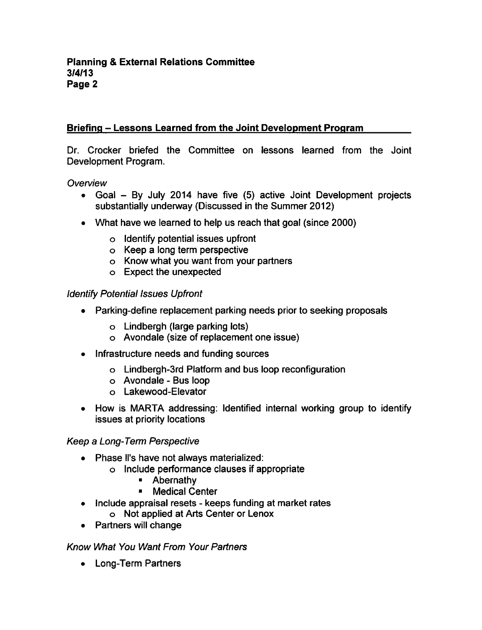# Briefing Lessons Learned from the Joint Development Program

Dr. Crocker briefed the Committee on lessons learned from the Joint Development Program.

### **Overview**

- Goal  $-$  By July 2014 have five (5) active Joint Development projects substantially underway (Discussed in the Summer 2012)
- What have we learned to help us reach that goal (since 2000)
	- $\circ$  Identify potential issues upfront
	- $\circ$  Keep a long term perspective
	- Know what you want from your partners
	- Expect the unexpected

#### Identify Potential Issues Upfront

- Parking-define replacement parking needs prior to seeking proposals
	- Lindbergh (large parking lots)
	- Avondale (size of replacement one issue)
- Infrastructure needs and funding sources
	- Lindbergh-3rd Platform and bus loop reconfiguration
	- o Avondale Bus loop
	- Lakewood-Elevator
- How is MARTA addressing: Identified internal working group to identify issues at priority locations

### Keep a Long-Term Perspective

- Phase ll's have not always materialized:
	- Include performance clauses if appropriate
		- Abernathy
		- **Medical Center**
- Include appraisal resets keeps funding at market rates  $\bullet$ Not applied at Arts Center or Lenox
- Partners will change

### Know What You Want From Your Partners

• Long-Term Partners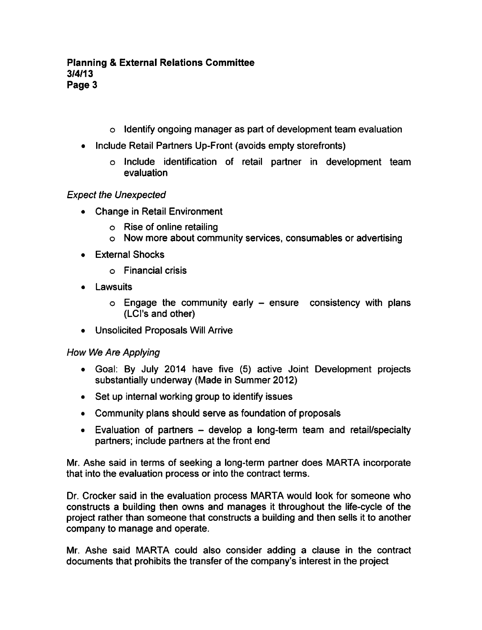- Identify ongoing manager as part of development team evaluation
- Include Retail Partners Up-Front (avoids empty storefronts)
	- Include identification of retail partner in development team evaluation

# Expect the Unexpected

- Change in Retail Environment
	- Rise of online retailing
	- Now more about community services, consumables or advertising
- External Shocks
	- Financial crisis
- Lawsuits
	- $\circ$  Engage the community early  $-$  ensure consistency with plans (LCI's and other)
- Unsolicited Proposals Will Arrive

# How We Are Applying

- Goal: By July 2014 have five (5) active Joint Development projects substantially underway (Made in Summer 2012)
- Set up internal working group to identify issues
- Community plans should serve as foundation of proposals
- $\bullet$  Evaluation of partners develop a long-term team and retail/specialty partners; include partners at the front end

Mr. Ashe said in terms of seeking a long-term partner does MARTA incorporate that into the evaluation process or into the contract terms.

Dr. Crocker said in the evaluation process MARTA would look for someone who constructs a building then owns and manages it throughout the life-cycle of the project rather than someone that constructs a building and then sells it to another company to manage and operate.

Mr. Ashe said MARTA could also consider adding a clause in the contract documents that prohibits the transfer of the company's interest in the project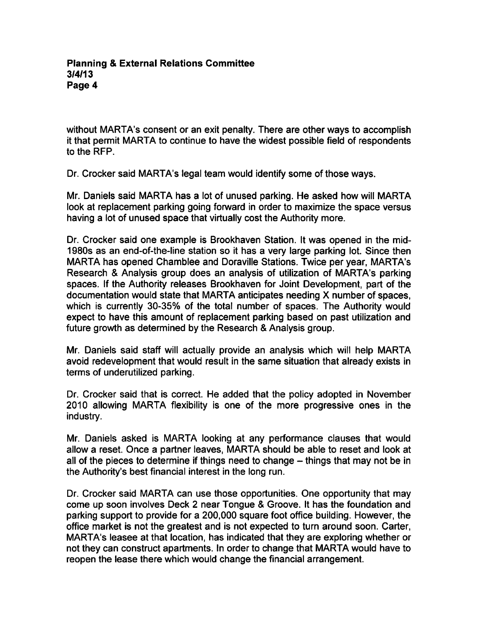#### **Planning & External Relations Committee** 3/4/13 Page 4

without MARTA's consent or an exit penalty. There are other ways to accomplish it that permit MARTA to continue to have the widest possible field of respondents to the RFP.

Dr. Crocker said MARTA's legal team would identify some of those ways.

Mr. Daniels said MARTA has a lot of unused parking. He asked how will MARTA look at replacement parking going forward in order to maximize the space versus having a lot of unused space that virtually cost the Authority more.

Dr. Crocker said one example is Brookhaven Station. It was opened in the mid-1980s as an end-of-the-line station so it has a very large parking lot. Since then MARTA has opened Chamblee and Doraville Stations. Twice per year, MARTA's Research & Analysis group does an analysis of utilization of MARTA's parking spaces. If the Authority releases Brookhaven for Joint Development, part of the documentation would state that MARTA anticipates needing X number of spaces, which is currently 30-35% of the total number of spaces. The Authority would expect to have this amount of replacement parking based on past utilization and future growth as determined by the Research & Analysis group.

Mr. Daniels said staff will actually provide an analysis which will help MARTA avoid redevelopment that would result in the same situation that already exists in terms of underutilized parking.

Dr. Crocker said that is correct. He added that the policy adopted in November 2010 allowing MARTA flexibility is one of the more progressive ones in the industry.

Mr. Daniels asked is MARTA looking at any performance clauses that would allow a reset. Once a partner leaves, MARTA should be able to reset and look at all of the pieces to determine if things need to change  $-$  things that may not be in the Authority's best financial interest in the long run.

Dr. Crocker said MARTA can use those opportunities. One opportunity that may come up soon involves Deck 2 near Tongue & Groove. It has the foundation and parking support to provide for a 200,000 square foot office building. However, the office market is not the greatest and is not expected to turn around soon. Carter, MARTA's leasee at that location, has indicated that they are exploring whether or not they can construct apartments. In order to change that MARTA would have to reopen the lease there which would change the financial arrangement.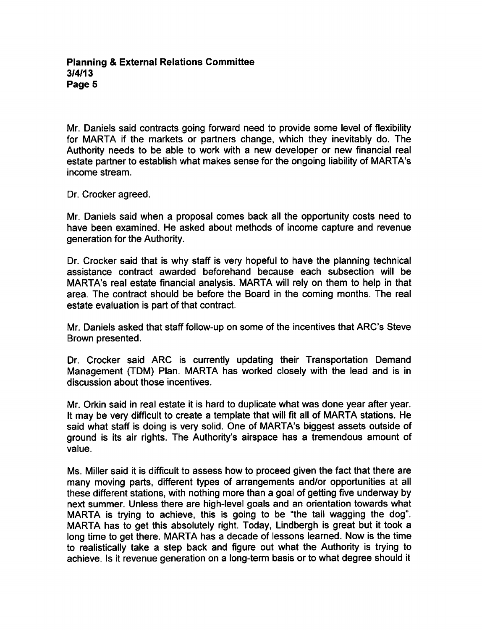Mr. Daniels said contracts going forward need to provide some level of flexibility for MARTA if the markets or partners change, which they inevitably do. The Authority needs to be able to work with a new developer or new financial real estate partner to establish what makes sense for the ongoing liability of MARTA's income stream.

Dr. Crocker agreed.

Mr. Daniels said when a proposal comes back all the opportunity costs need to have been examined. He asked about methods of income capture and revenue generation for the Authority.

Dr. Crocker said that is why staff is very hopeful to have the planning technical assistance contract awarded beforehand because each subsection will be MARTA's real estate financial analysis. MARTA will rely on them to help in that area. The contract should be before the Board in the coming months. The real estate evaluation is part of that contract.

Mr. Daniels asked that staff follow-up on some of the incentives that ARC's Steve Brown presented.

Dr. Crocker said ARC is currently updating their Transportation Demand Management (TDM) Plan. MARTA has worked closely with the lead and is in discussion about those incentives.

Mr. Orkin said in real estate it is hard to duplicate what was done year after year. It may be very difficult to create a template that will fit all of MARTA stations. He said what staff is doing is very solid. One of MARTA's biggest assets outside of ground is its air rights. The Authority's airspace has a tremendous amount of value.

Ms. Miller said it is difficult to assess how to proceed given the fact that there are many moving parts, different types of arrangements and/or opportunities at all these different stations, with nothing more than a goal of getting five underway by next summer. Unless there are high-level goals and an orientation towards what MARTA is trying to achieve, this is going to be "the tail wagging the dog". MARTA has to get this absolutely right. Today, Lindbergh is great but it took a long time to get there. MARTA has a decade of lessons learned. Now is the time to realistically take a step back and figure out what the Authority is trying to achieve. Is it revenue generation on a long-term basis or to what degree should it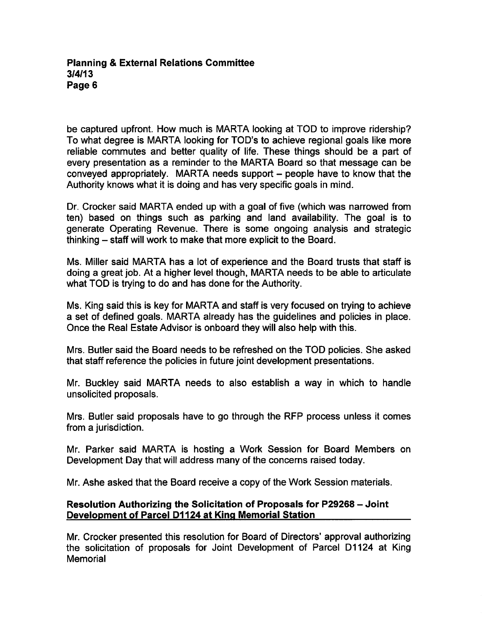#### Planning External Relations Committee 3/4/13 Page 6

be captured upfront. How much is MARTA looking at TOD to improve ridership? To what degree is MARTA looking for TOD's to achieve regional goals like more reliable commutes and better quality of life. These things should be a part of every presentation as a reminder to the MARTA Board so that message can be conveyed appropriately. MARTA needs support  $-$  people have to know that the Authority knows what it is doing and has very specific goals in mind.

Dr. Crocker said MARTA ended up with a goal of five (which was narrowed from ten) based on things such as parking and land availability. The goal is to generate Operating Revenue. There is some ongoing analysis and strategic thinking – staff will work to make that more explicit to the Board.

Ms. Miller said MARTA has a lot of experience and the Board trusts that staff is doing a great job. At a higher level though, MARTA needs to be able to articulate what TOD is trying to do and has done for the Authority.

Ms. King said this is key for MARTA and staff is very focused on trying to achieve a set of defined goals. MARTA already has the guidelines and policies in place. Once the Real Estate Advisor is onboard they will also help with this.

Mrs. Butler said the Board needs to be refreshed on the TOD policies. She asked that staff reference the policies in future joint development presentations.

Mr. Buckley said MARTA needs to also establish a way in which to handle unsolicited proposals.

Mrs. Butler said proposals have to go through the RFP process unless it comes from a jurisdiction.

Mr. Parker said MARTA is hosting a Work Session for Board Members on Development Day that will address many of the concerns raised today.

Mr. Ashe asked that the Board receive a copy of the Work Session materials.

## Resolution Authorizing the Solicitation of Proposals for P29268 – Joint Development of Parcel D1124 at King Memorial Station

Mr. Crocker presented this resolution for Board of Directors' approval authorizing the solicitation of proposals for Joint Development of Parcel D1124 at King **Memorial**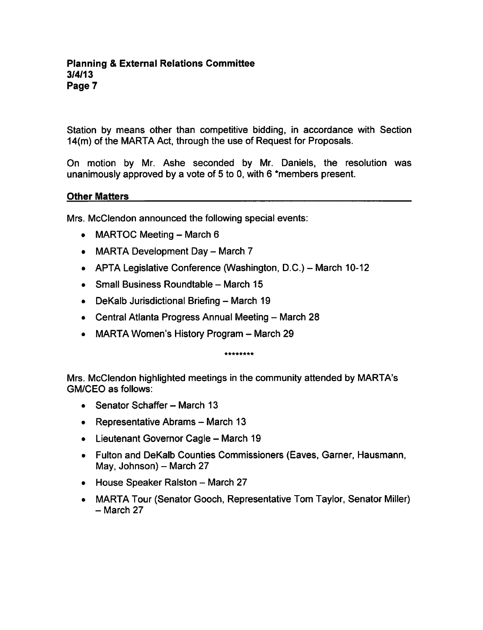Station by means other than competitive bidding, in accordance with Section 14(m) of the MARTA Act, through the use of Request for Proposals.

On motion by Mr. Ashe seconded by Mr. Daniels, the resolution was unanimously approved by a vote of 5 to 0, with 6 \*members present.

### Other Matters

Mrs. McClendon announced the following special events:

- MARTOC Meeting  $-$  March 6
- MARTA Development Day  $-$  March 7
- APTA Legislative Conference (Washington, D.C.) March 10-12
- $\bullet$  Small Business Roundtable March 15
- $\bullet$  DeKalb Jurisdictional Briefing March 19
- $\bullet$  Central Atlanta Progress Annual Meeting March 28
- $\bullet$  MARTA Women's History Program March 29

\*\*\*\*\*\*\*\*

Mrs. McClendon highlighted meetings in the community attended by MARTA's GM/CEO as follows:

- $\bullet$  Senator Schaffer March 13
- Representative Abrams  $-$  March 13
- $\bullet$  Lieutenant Governor Cagle March 19
- Fulton and DeKalb Counties Commissioners (Eaves, Garner, Hausmann, May, Johnson) - March  $27$
- $\bullet$  House Speaker Ralston March 27
- MARTA Tour (Senator Gooch, Representative Tom Taylor, Senator Miller) - March 27